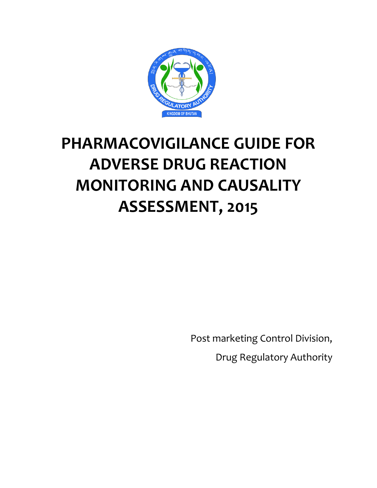

# **PHARMACOVIGILANCE GUIDE FOR ADVERSE DRUG REACTION MONITORING AND CAUSALITY ASSESSMENT, 2015**

Post marketing Control Division,

Drug Regulatory Authority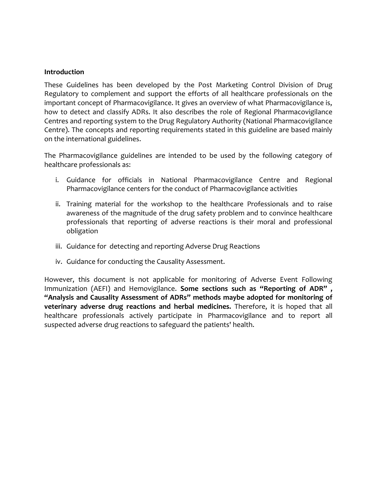#### **Introduction**

These Guidelines has been developed by the Post Marketing Control Division of Drug Regulatory to complement and support the efforts of all healthcare professionals on the important concept of Pharmacovigilance. It gives an overview of what Pharmacovigilance is, how to detect and classify ADRs. It also describes the role of Regional Pharmacovigilance Centres and reporting system to the Drug Regulatory Authority (National Pharmacovigilance Centre). The concepts and reporting requirements stated in this guideline are based mainly on the international guidelines.

The Pharmacovigilance guidelines are intended to be used by the following category of healthcare professionals as:

- i. Guidance for officials in National Pharmacovigilance Centre and Regional Pharmacovigilance centers for the conduct of Pharmacovigilance activities
- ii. Training material for the workshop to the healthcare Professionals and to raise awareness of the magnitude of the drug safety problem and to convince healthcare professionals that reporting of adverse reactions is their moral and professional obligation
- iii. Guidance for detecting and reporting Adverse Drug Reactions
- iv. Guidance for conducting the Causality Assessment.

However, this document is not applicable for monitoring of Adverse Event Following Immunization (AEFI) and Hemovigilance. **Some sections such as "Reporting of ADR" , "Analysis and Causality Assessment of ADRs" methods maybe adopted for monitoring of veterinary adverse drug reactions and herbal medicines.** Therefore, it is hoped that all healthcare professionals actively participate in Pharmacovigilance and to report all suspected adverse drug reactions to safeguard the patients' health.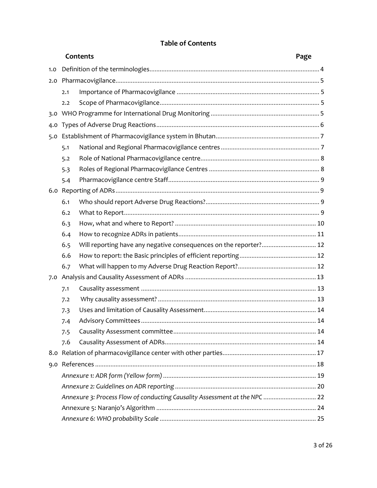|     |     | Contents                                                                   | Page |  |  |
|-----|-----|----------------------------------------------------------------------------|------|--|--|
| 1.0 |     |                                                                            |      |  |  |
| 2.0 |     |                                                                            |      |  |  |
|     | 2.1 |                                                                            |      |  |  |
|     | 2.2 |                                                                            |      |  |  |
|     |     |                                                                            |      |  |  |
|     |     |                                                                            |      |  |  |
|     |     |                                                                            |      |  |  |
|     | 5.1 |                                                                            |      |  |  |
|     | 5.2 |                                                                            |      |  |  |
|     | 5.3 |                                                                            |      |  |  |
|     | 5.4 |                                                                            |      |  |  |
|     |     |                                                                            |      |  |  |
|     | 6.1 |                                                                            |      |  |  |
|     | 6.2 |                                                                            |      |  |  |
|     | 6.3 |                                                                            |      |  |  |
|     | 6.4 |                                                                            |      |  |  |
|     | 6.5 | Will reporting have any negative consequences on the reporter? 12          |      |  |  |
|     | 6.6 |                                                                            |      |  |  |
|     | 6.7 |                                                                            |      |  |  |
| 7.0 |     |                                                                            |      |  |  |
|     | 7.1 |                                                                            |      |  |  |
|     | 7.2 |                                                                            |      |  |  |
|     | 7.3 |                                                                            |      |  |  |
|     | 7.4 |                                                                            |      |  |  |
|     | 7.5 |                                                                            |      |  |  |
|     | 7.6 |                                                                            |      |  |  |
|     |     |                                                                            |      |  |  |
|     |     |                                                                            |      |  |  |
|     |     |                                                                            |      |  |  |
|     |     |                                                                            |      |  |  |
|     |     | Annexure 3: Process Flow of conducting Causality Assessment at the NPC  22 |      |  |  |
|     |     |                                                                            |      |  |  |
|     |     |                                                                            |      |  |  |

# **Table of Contents**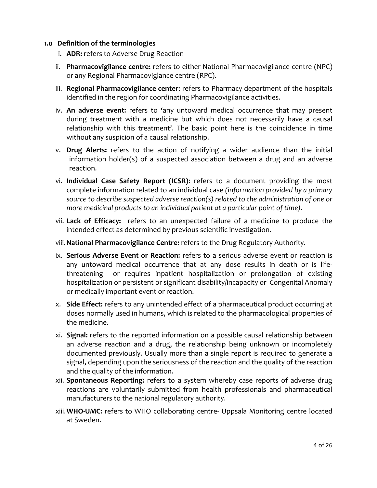#### <span id="page-3-0"></span>**1.0 Definition of the terminologies**

- i. **ADR:** refers to Adverse Drug Reaction
- ii. **Pharmacovigilance centre:** refers to either National Pharmacovigilance centre (NPC) or any Regional Pharmacoviglance centre (RPC).
- iii. **Regional Pharmacovigilance center**: refers to Pharmacy department of the hospitals identified in the region for coordinating Pharmacovigilance activities.
- iv. **An adverse event:** refers to 'any untoward medical occurrence that may present during treatment with a medicine but which does not necessarily have a causal relationship with this treatment'. The basic point here is the coincidence in time without any suspicion of a causal relationship.
- v. **Drug Alerts:** refers to the action of notifying a wider audience than the initial information holder(s) of a suspected association between a drug and an adverse reaction.
- vi. **Individual Case Safety Report (ICSR)**: refers to a document providing the most complete information related to an individual case *(information provided by a primary source to describe suspected adverse reaction(s) related to the administration of one or more medicinal products to an individual patient at a particular point of time).*
- vii. **Lack of Efficacy:** refers to an unexpected failure of a medicine to produce the intended effect as determined by previous scientific investigation.
- viii.**National Pharmacovigilance Centre:** refers to the Drug Regulatory Authority.
- ix. **Serious Adverse Event or Reaction:** refers to a serious adverse event or reaction is any untoward medical occurrence that at any dose results in death or is lifethreatening or requires inpatient hospitalization or prolongation of existing hospitalization or persistent or significant disability/incapacity or Congenital Anomaly or medically important event or reaction.
- x. **Side Effect:** refers to any unintended effect of a pharmaceutical product occurring at doses normally used in humans, which is related to the pharmacological properties of the medicine.
- xi. **Signal:** refers to the reported information on a possible causal relationship between an adverse reaction and a drug, the relationship being unknown or incompletely documented previously. Usually more than a single report is required to generate a signal, depending upon the seriousness of the reaction and the quality of the reaction and the quality of the information.
- xii. **Spontaneous Reporting:** refers to a system whereby case reports of adverse drug reactions are voluntarily submitted from health professionals and pharmaceutical manufacturers to the national regulatory authority.
- xiii.**WHO-UMC:** refers to WHO collaborating centre- Uppsala Monitoring centre located at Sweden.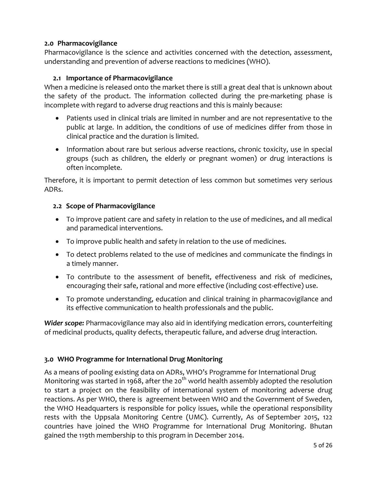# <span id="page-4-0"></span>**2.0 Pharmacovigilance**

Pharmacovigilance is the science and activities concerned with the detection, assessment, understanding and prevention of adverse reactions to medicines (WHO).

#### **2.1 Importance of Pharmacovigilance**

<span id="page-4-1"></span>When a medicine is released onto the market there is still a great deal that is unknown about the safety of the product. The information collected during the pre-marketing phase is incomplete with regard to adverse drug reactions and this is mainly because:

- Patients used in clinical trials are limited in number and are not representative to the public at large. In addition, the conditions of use of medicines differ from those in clinical practice and the duration is limited.
- Information about rare but serious adverse reactions, chronic toxicity, use in special groups (such as children, the elderly or pregnant women) or drug interactions is often incomplete.

Therefore, it is important to permit detection of less common but sometimes very serious ADRs.

#### <span id="page-4-2"></span>**2.2 Scope of Pharmacovigilance**

- To improve patient care and safety in relation to the use of medicines, and all medical and paramedical interventions.
- To improve public health and safety in relation to the use of medicines.
- To detect problems related to the use of medicines and communicate the findings in a timely manner.
- To contribute to the assessment of benefit, effectiveness and risk of medicines, encouraging their safe, rational and more effective (including cost-effective) use.
- To promote understanding, education and clinical training in pharmacovigilance and its effective communication to health professionals and the public.

*Wider scope:* Pharmacovigilance may also aid in identifying medication errors, counterfeiting of medicinal products, quality defects, therapeutic failure, and adverse drug interaction.

# <span id="page-4-3"></span>**3.0 WHO Programme for International Drug Monitoring**

As a means of pooling existing data on ADRs, WHO's Programme for International Drug Monitoring was started in 1968, after the 20<sup>th</sup> world health assembly adopted the resolution to start a project on the feasibility of international system of monitoring adverse drug reactions. As per WHO, there is agreement between WHO and the Government of Sweden, the WHO Headquarters is responsible for policy issues, while the operational responsibility rests with the Uppsala Monitoring Centre (UMC). Currently, As of September 2015, 122 countries have joined the WHO Programme for International Drug Monitoring. Bhutan gained the 119th membership to this program in December 2014.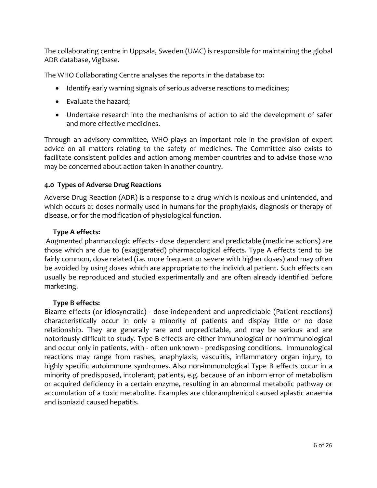The collaborating centre in Uppsala, Sweden (UMC) is responsible for maintaining the global ADR database, Vigibase.

The WHO Collaborating Centre analyses the reports in the database to:

- Identify early warning signals of serious adverse reactions to medicines;
- Evaluate the hazard;
- Undertake research into the mechanisms of action to aid the development of safer and more effective medicines.

Through an advisory committee, WHO plays an important role in the provision of expert advice on all matters relating to the safety of medicines. The Committee also exists to facilitate consistent policies and action among member countries and to advise those who may be concerned about action taken in another country.

# <span id="page-5-0"></span>**4.0 Types of Adverse Drug Reactions**

Adverse Drug Reaction (ADR) is a response to a drug which is noxious and unintended, and which occurs at doses normally used in humans for the prophylaxis, diagnosis or therapy of disease, or for the modification of physiological function.

# **Type A effects:**

Augmented pharmacologic effects - dose dependent and predictable (medicine actions) are those which are due to (exaggerated) pharmacological effects. Type A effects tend to be fairly common, dose related (i.e. more frequent or severe with higher doses) and may often be avoided by using doses which are appropriate to the individual patient. Such effects can usually be reproduced and studied experimentally and are often already identified before marketing.

# **Type B effects:**

Bizarre effects (or idiosyncratic) - dose independent and unpredictable (Patient reactions) characteristically occur in only a minority of patients and display little or no dose relationship. They are generally rare and unpredictable, and may be serious and are notoriously difficult to study. Type B effects are either immunological or nonimmunological and occur only in patients, with - often unknown - predisposing conditions. Immunological reactions may range from rashes, anaphylaxis, vasculitis, inflammatory organ injury, to highly specific autoimmune syndromes. Also non-immunological Type B effects occur in a minority of predisposed, intolerant, patients, e.g. because of an inborn error of metabolism or acquired deficiency in a certain enzyme, resulting in an abnormal metabolic pathway or accumulation of a toxic metabolite. Examples are chloramphenicol caused aplastic anaemia and isoniazid caused hepatitis.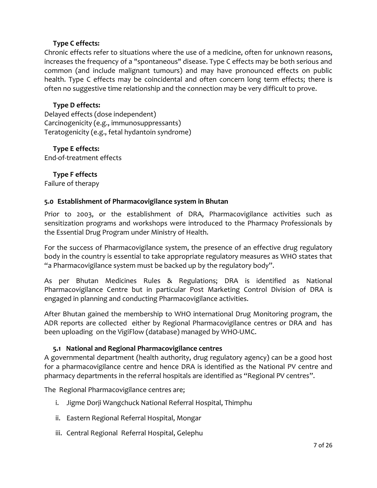#### **Type C effects:**

Chronic effects refer to situations where the use of a medicine, often for unknown reasons, increases the frequency of a "spontaneous" disease. Type C effects may be both serious and common (and include malignant tumours) and may have pronounced effects on public health. Type C effects may be coincidental and often concern long term effects; there is often no suggestive time relationship and the connection may be very difficult to prove.

#### **Type D effects:**

Delayed effects (dose independent) Carcinogenicity (e.g., immunosuppressants) Teratogenicity (e.g., fetal hydantoin syndrome)

#### **Type E effects:**

End-of-treatment effects

#### **Type F effects**

Failure of therapy

#### <span id="page-6-0"></span>**5.0 Establishment of Pharmacovigilance system in Bhutan**

Prior to 2003, or the establishment of DRA, Pharmacovigilance activities such as sensitization programs and workshops were introduced to the Pharmacy Professionals by the Essential Drug Program under Ministry of Health.

For the success of Pharmacovigilance system, the presence of an effective drug regulatory body in the country is essential to take appropriate regulatory measures as WHO states that "a Pharmacovigilance system must be backed up by the regulatory body".

As per Bhutan Medicines Rules & Regulations; DRA is identified as National Pharmacovigilance Centre but in particular Post Marketing Control Division of DRA is engaged in planning and conducting Pharmacovigilance activities.

After Bhutan gained the membership to WHO international Drug Monitoring program, the ADR reports are collected either by Regional Pharmacovigilance centres or DRA and has been uploading on the VigiFlow (database) managed by WHO-UMC.

#### **5.1 National and Regional Pharmacovigilance centres**

<span id="page-6-1"></span>A governmental department (health authority, drug regulatory agency) can be a good host for a pharmacovigilance centre and hence DRA is identified as the National PV centre and pharmacy departments in the referral hospitals are identified as "Regional PV centres".

The Regional Pharmacovigilance centres are;

- i. Jigme Dorji Wangchuck National Referral Hospital, Thimphu
- ii. Eastern Regional Referral Hospital, Mongar
- iii. Central Regional Referral Hospital, Gelephu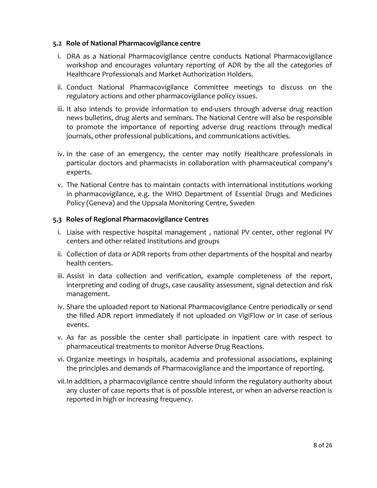#### <span id="page-7-0"></span>**5.2 Role of National Pharmacovigilance centre**

- i. DRA as a National Pharmacovigilance centre conducts National Pharmacovigilance workshop and encourages voluntary reporting of ADR by the all the categories of Healthcare Professionals and Market Authorization Holders.
- ii. Conduct National Pharmacovigilance Committee meetings to discuss on the regulatory actions and other pharmacovigilance policy issues.
- iii. It also intends to provide information to end-users through adverse drug reaction news bulletins, drug alerts and seminars. The National Centre will also be responsible to promote the importance of reporting adverse drug reactions through medical journals, other professional publications, and communications activities.
- iv. In the case of an emergency, the center may notify Healthcare professionals in particular doctors and pharmacists in collaboration with pharmaceutical company's experts.
- v. The National Centre has to maintain contacts with international institutions working in pharmacovigilance, e.g. the WHO Department of Essential Drugs and Medicines Policy (Geneva) and the Uppsala Monitoring Centre, Sweden

#### <span id="page-7-1"></span>**5.3 Roles of Regional Pharmacovigilance Centres**

- i. Liaise with respective hospital management , national PV center, other regional PV centers and other related Institutions and groups
- ii. Collection of data or ADR reports from other departments of the hospital and nearby health centers.
- iii. Assist in data collection and verification, example completeness of the report, interpreting and coding of drugs, case causality assessment, signal detection and risk management.
- iv. Share the uploaded report to National Pharmacovigilance Centre periodically or send the filled ADR report immediately if not uploaded on VigiFlow or in case of serious events.
- v. As far as possible the center shall participate in inpatient care with respect to pharmaceutical treatments to monitor Adverse Drug Reactions.
- vi. Organize meetings in hospitals, academia and professional associations, explaining the principles and demands of Pharmacovigilance and the importance of reporting.
- vii.In addition, a pharmacovigilance centre should inform the regulatory authority about any cluster of case reports that is of possible interest, or when an adverse reaction is reported in high or increasing frequency.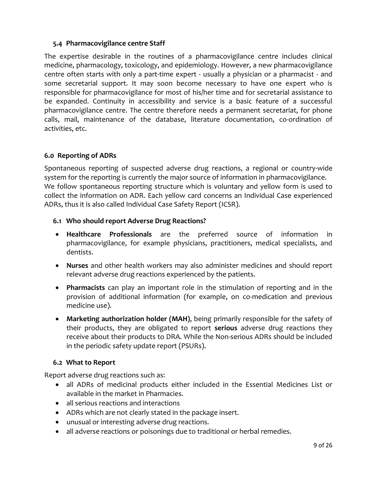# <span id="page-8-0"></span>**5.4 Pharmacovigilance centre Staff**

The expertise desirable in the routines of a pharmacovigilance centre includes clinical medicine, pharmacology, toxicology, and epidemiology. However, a new pharmacovigilance centre often starts with only a part-time expert - usually a physician or a pharmacist - and some secretarial support. It may soon become necessary to have one expert who is responsible for pharmacovigilance for most of his/her time and for secretarial assistance to be expanded. Continuity in accessibility and service is a basic feature of a successful pharmacovigilance centre. The centre therefore needs a permanent secretariat, for phone calls, mail, maintenance of the database, literature documentation, co-ordination of activities, etc.

# <span id="page-8-1"></span>**6.0 Reporting of ADRs**

Spontaneous reporting of suspected adverse drug reactions, a regional or country-wide system for the reporting is currently the major source of information in pharmacovigilance. We follow spontaneous reporting structure which is voluntary and yellow form is used to collect the information on ADR. Each yellow card concerns an Individual Case experienced ADRs, thus it is also called Individual Case Safety Report (ICSR).

# <span id="page-8-2"></span>**6.1 Who should report Adverse Drug Reactions?**

- **Healthcare Professionals** are the preferred source of information in pharmacovigilance, for example physicians, practitioners, medical specialists, and dentists.
- **Nurses** and other health workers may also administer medicines and should report relevant adverse drug reactions experienced by the patients.
- **Pharmacists** can play an important role in the stimulation of reporting and in the provision of additional information (for example, on co-medication and previous medicine use).
- **Marketing authorization holder (MAH)**, being primarily responsible for the safety of their products, they are obligated to report **serious** adverse drug reactions they receive about their products to DRA. While the Non-serious ADRs should be included in the periodic safety update report (PSURs).

# <span id="page-8-3"></span>**6.2 What to Report**

Report adverse drug reactions such as:

- all ADRs of medicinal products either included in the Essential Medicines List or available in the market in Pharmacies.
- all serious reactions and interactions
- ADRs which are not clearly stated in the package insert.
- unusual or interesting adverse drug reactions.
- all adverse reactions or poisonings due to traditional or herbal remedies.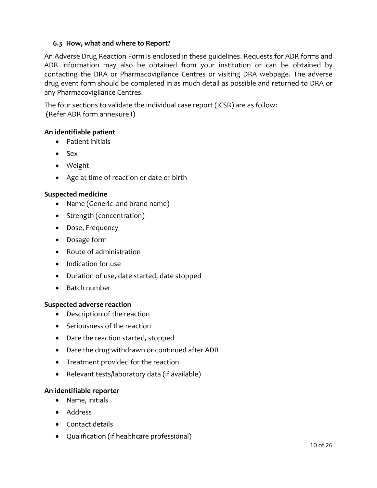# <span id="page-9-0"></span>**6.3 How, what and where to Report?**

An Adverse Drug Reaction Form is enclosed in these guidelines. Requests for ADR forms and ADR information may also be obtained from your institution or can be obtained by contacting the DRA or Pharmacovigilance Centres or visiting DRA webpage. The adverse drug event form should be completed in as much detail as possible and returned to DRA or any Pharmacovigilance Centres.

The four sections to validate the individual case report (ICSR) are as follow: (Refer ADR form annexure I)

# **An identifiable patient**

- Patient initials
- $\bullet$  Sex
- Weight
- Age at time of reaction or date of birth

#### **Suspected medicine**

- Name (Generic and brand name)
- Strength (concentration)
- Dose, Frequency
- Dosage form
- Route of administration
- Indication for use
- Duration of use, date started, date stopped
- Batch number

#### **Suspected adverse reaction**

- Description of the reaction
- Seriousness of the reaction
- Date the reaction started, stopped
- Date the drug withdrawn or continued after ADR
- Treatment provided for the reaction
- Relevant tests/laboratory data (if available)

# **An identifiable reporter**

- Name, initials
- Address
- Contact details
- Qualification (if healthcare professional)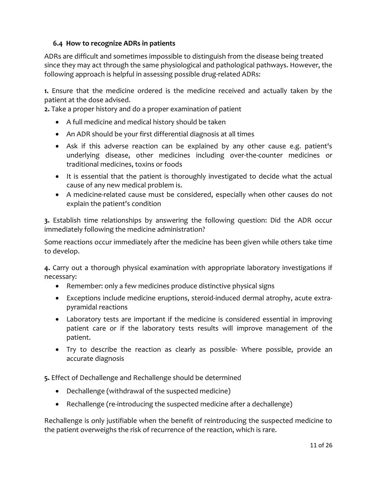# <span id="page-10-0"></span>**6.4 How to recognize ADRs in patients**

ADRs are difficult and sometimes impossible to distinguish from the disease being treated since they may act through the same physiological and pathological pathways. However, the following approach is helpful in assessing possible drug-related ADRs:

**1.** Ensure that the medicine ordered is the medicine received and actually taken by the patient at the dose advised.

**2.** Take a proper history and do a proper examination of patient

- A full medicine and medical history should be taken
- An ADR should be your first differential diagnosis at all times
- Ask if this adverse reaction can be explained by any other cause e.g. patient's underlying disease, other medicines including over-the-counter medicines or traditional medicines, toxins or foods
- It is essential that the patient is thoroughly investigated to decide what the actual cause of any new medical problem is.
- A medicine-related cause must be considered, especially when other causes do not explain the patient's condition

**3.** Establish time relationships by answering the following question: Did the ADR occur immediately following the medicine administration?

Some reactions occur immediately after the medicine has been given while others take time to develop.

**4.** Carry out a thorough physical examination with appropriate laboratory investigations if necessary:

- Remember: only a few medicines produce distinctive physical signs
- Exceptions include medicine eruptions, steroid-induced dermal atrophy, acute extrapyramidal reactions
- Laboratory tests are important if the medicine is considered essential in improving patient care or if the laboratory tests results will improve management of the patient.
- Try to describe the reaction as clearly as possible- Where possible, provide an accurate diagnosis

**5.** Effect of Dechallenge and Rechallenge should be determined

- Dechallenge (withdrawal of the suspected medicine)
- Rechallenge (re-introducing the suspected medicine after a dechallenge)

Rechallenge is only justifiable when the benefit of reintroducing the suspected medicine to the patient overweighs the risk of recurrence of the reaction, which is rare.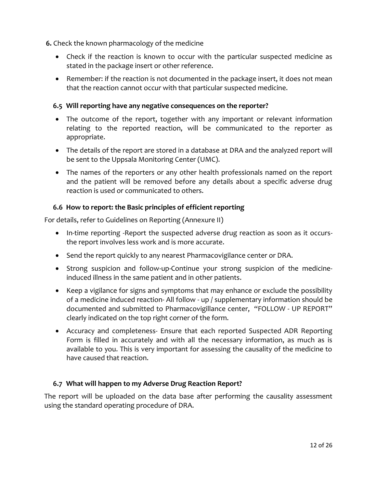**6.** Check the known pharmacology of the medicine

- Check if the reaction is known to occur with the particular suspected medicine as stated in the package insert or other reference.
- Remember: if the reaction is not documented in the package insert, it does not mean that the reaction cannot occur with that particular suspected medicine.

# <span id="page-11-0"></span>**6.5 Will reporting have any negative consequences on the reporter?**

- The outcome of the report, together with any important or relevant information relating to the reported reaction, will be communicated to the reporter as appropriate.
- The details of the report are stored in a database at DRA and the analyzed report will be sent to the Uppsala Monitoring Center (UMC).
- The names of the reporters or any other health professionals named on the report and the patient will be removed before any details about a specific adverse drug reaction is used or communicated to others.

# <span id="page-11-1"></span>**6.6 How to report: the Basic principles of efficient reporting**

For details, refer to Guidelines on Reporting (Annexure II)

- In-time reporting -Report the suspected adverse drug reaction as soon as it occursthe report involves less work and is more accurate.
- Send the report quickly to any nearest Pharmacovigilance center or DRA.
- Strong suspicion and follow-up-Continue your strong suspicion of the medicineinduced illness in the same patient and in other patients.
- Keep a vigilance for signs and symptoms that may enhance or exclude the possibility of a medicine induced reaction- All follow - up / supplementary information should be documented and submitted to Pharmacovigillance center, "FOLLOW - UP REPORT" clearly indicated on the top right corner of the form.
- Accuracy and completeness- Ensure that each reported Suspected ADR Reporting Form is filled in accurately and with all the necessary information, as much as is available to you. This is very important for assessing the causality of the medicine to have caused that reaction.

# <span id="page-11-2"></span>**6.7 What will happen to my Adverse Drug Reaction Report?**

The report will be uploaded on the data base after performing the causality assessment using the standard operating procedure of DRA.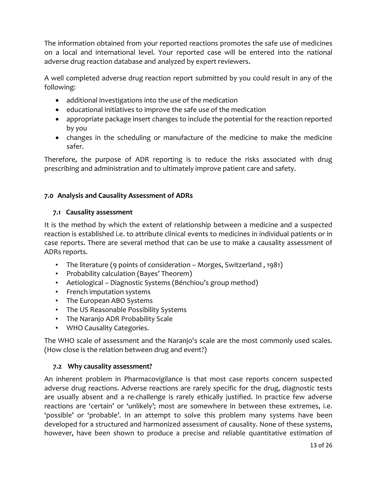The information obtained from your reported reactions promotes the safe use of medicines on a local and international level. Your reported case will be entered into the national adverse drug reaction database and analyzed by expert reviewers.

A well completed adverse drug reaction report submitted by you could result in any of the following:

- additional investigations into the use of the medication
- educational initiatives to improve the safe use of the medication
- appropriate package insert changes to include the potential for the reaction reported by you
- changes in the scheduling or manufacture of the medicine to make the medicine safer.

Therefore, the purpose of ADR reporting is to reduce the risks associated with drug prescribing and administration and to ultimately improve patient care and safety.

# <span id="page-12-0"></span>**7.0 Analysis and Causality Assessment of ADRs**

# <span id="page-12-1"></span>**7.1 Causality assessment**

It is the method by which the extent of relationship between a medicine and a suspected reaction is established i.e. to attribute clinical events to medicines in individual patients or in case reports. There are several method that can be use to make a causality assessment of ADRs reports.

- The literature (9 points of consideration Morges, Switzerland , 1981)
- Probability calculation (Bayes' Theorem)
- Aetiological Diagnostic Systems (Bénchiou's group method)
- French imputation systems
- The European ABO Systems
- The US Reasonable Possibility Systems
- The Naranjo ADR Probability Scale
- WHO Causality Categories.

The WHO scale of assessment and the Naranjo's scale are the most commonly used scales. (How close is the relation between drug and event?)

# <span id="page-12-2"></span>**7.2 Why causality assessment?**

An inherent problem in Pharmacovigilance is that most case reports concern suspected adverse drug reactions. Adverse reactions are rarely specific for the drug, diagnostic tests are usually absent and a re-challenge is rarely ethically justified. In practice few adverse reactions are 'certain' or 'unlikely'; most are somewhere in between these extremes, i.e. 'possible' or 'probable'. In an attempt to solve this problem many systems have been developed for a structured and harmonized assessment of causality. None of these systems, however, have been shown to produce a precise and reliable quantitative estimation of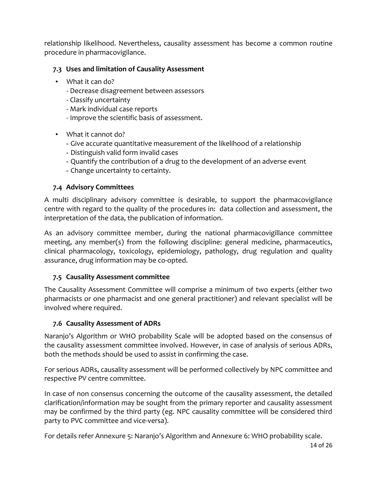relationship likelihood. Nevertheless, causality assessment has become a common routine procedure in pharmacovigilance.

# <span id="page-13-0"></span>**7.3 Uses and limitation of Causality Assessment**

- What it can do?
	- Decrease disagreement between assessors
	- Classify uncertainty
	- Mark individual case reports
	- Improve the scientific basis of assessment.
- What it cannot do?
	- Give accurate quantitative measurement of the likelihood of a relationship
	- Distinguish valid form invalid cases
	- Quantify the contribution of a drug to the development of an adverse event
	- Change uncertainty to certainty.

# <span id="page-13-1"></span>**7.4 Advisory Committees**

A multi disciplinary advisory committee is desirable, to support the pharmacovigilance centre with regard to the quality of the procedures in: data collection and assessment, the interpretation of the data, the publication of information.

As an advisory committee member, during the national pharmacovigillance committee meeting, any member(s) from the following discipline: general medicine, pharmaceutics, clinical pharmacology, toxicology, epidemiology, pathology, drug regulation and quality assurance, drug information may be co-opted.

# <span id="page-13-2"></span>**7.5 Causality Assessment committee**

The Causality Assessment Committee will comprise a minimum of two experts (either two pharmacists or one pharmacist and one general practitioner) and relevant specialist will be involved where required.

# <span id="page-13-3"></span>**7.6 Causality Assessment of ADRs**

Naranjo's Algorithm or WHO probability Scale will be adopted based on the consensus of the causality assessment committee involved. However, in case of analysis of serious ADRs, both the methods should be used to assist in confirming the case.

For serious ADRs, causality assessment will be performed collectively by NPC committee and respective PV centre committee.

In case of non consensus concerning the outcome of the causality assessment, the detailed clarification/information may be sought from the primary reporter and causality assessment may be confirmed by the third party (eg. NPC causality committee will be considered third party to PVC committee and vice-versa).

For details refer Annexure 5: Naranjo's Algorithm and Annexure 6: WHO probability scale.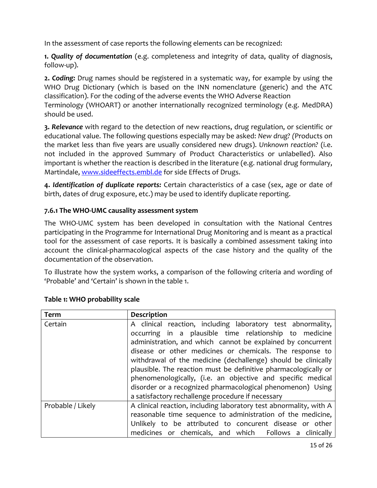In the assessment of case reports the following elements can be recognized:

**1.** *Quality of documentation* (e.g. completeness and integrity of data, quality of diagnosis, follow-up).

**2.** *Coding:* Drug names should be registered in a systematic way, for example by using the WHO Drug Dictionary (which is based on the INN nomenclature (generic) and the ATC classification). For the coding of the adverse events the WHO Adverse Reaction

Terminology (WHOART) or another internationally recognized terminology (e.g. MedDRA) should be used.

**3.** *Relevance* with regard to the detection of new reactions, drug regulation, or scientific or educational value. The following questions especially may be asked: *New drug? (*Products on the market less than five years are usually considered new drugs). *Unknown reaction?* (i.e. not included in the approved Summary of Product Characteristics or unlabelled). Also important is whether the reaction is described in the literature (e.g. national drug formulary, Martindale, [www.sideeffects.embl.de](http://www.sideeffects.embl.de/) for side Effects of Drugs.

**4.** *Identification of duplicate reports:* Certain characteristics of a case (sex, age or date of birth, dates of drug exposure, etc.) may be used to identify duplicate reporting.

# **7.6.1 The WHO-UMC causality assessment system**

The WHO-UMC system has been developed in consultation with the National Centres participating in the Programme for International Drug Monitoring and is meant as a practical tool for the assessment of case reports. It is basically a combined assessment taking into account the clinical-pharmacological aspects of the case history and the quality of the documentation of the observation.

To illustrate how the system works, a comparison of the following criteria and wording of 'Probable' and 'Certain' is shown in the table 1.

| <b>Term</b>       | <b>Description</b>                                                                                                                                                                                                                                                                                                                                                                                                                                                                                                                                                     |
|-------------------|------------------------------------------------------------------------------------------------------------------------------------------------------------------------------------------------------------------------------------------------------------------------------------------------------------------------------------------------------------------------------------------------------------------------------------------------------------------------------------------------------------------------------------------------------------------------|
| Certain           | A clinical reaction, including laboratory test abnormality,<br>occurring in a plausible time relationship to medicine<br>administration, and which cannot be explained by concurrent<br>disease or other medicines or chemicals. The response to<br>withdrawal of the medicine (dechallenge) should be clinically<br>plausible. The reaction must be definitive pharmacologically or<br>phenomenologically, (i.e. an objective and specific medical<br>disorder or a recognized pharmacological phenomenon) Using<br>a satisfactory rechallenge procedure if necessary |
| Probable / Likely | A clinical reaction, including laboratory test abnormality, with A<br>reasonable time sequence to administration of the medicine,<br>Unlikely to be attributed to concurent disease or other<br>medicines or chemicals, and which Follows a clinically                                                                                                                                                                                                                                                                                                                 |

# **Table 1: WHO probability scale**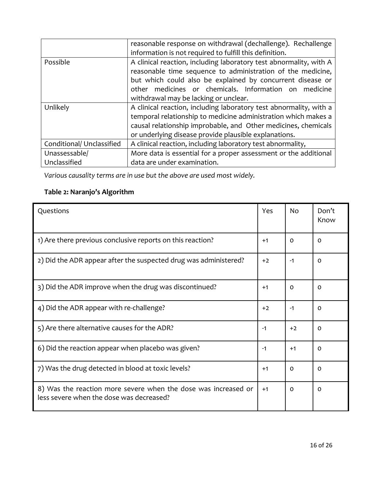|                           | reasonable response on withdrawal (dechallenge). Rechallenge<br>information is not required to fulfill this definition.                                                                                                                                                                              |  |  |
|---------------------------|------------------------------------------------------------------------------------------------------------------------------------------------------------------------------------------------------------------------------------------------------------------------------------------------------|--|--|
| Possible                  | A clinical reaction, including laboratory test abnormality, with A<br>reasonable time sequence to administration of the medicine,<br>but which could also be explained by concurrent disease or<br>other medicines or chemicals. Information on<br>medicine<br>withdrawal may be lacking or unclear. |  |  |
| Unlikely                  | A clinical reaction, including laboratory test abnormality, with a<br>temporal relationship to medicine administration which makes a<br>causal relationship improbable, and Other medicines, chemicals<br>or underlying disease provide plausible explanations.                                      |  |  |
| Conditional/ Unclassified | A clinical reaction, including laboratory test abnormality,                                                                                                                                                                                                                                          |  |  |
| Unassessable/             | More data is essential for a proper assessment or the additional                                                                                                                                                                                                                                     |  |  |
| Unclassified              | data are under examination.                                                                                                                                                                                                                                                                          |  |  |

*Various causality terms are in use but the above are used most widely.* 

# **Table 2: Naranjo's Algorithm**

| Questions                                                                                                  | Yes  | <b>No</b> | Don't<br>Know |
|------------------------------------------------------------------------------------------------------------|------|-----------|---------------|
| 1) Are there previous conclusive reports on this reaction?                                                 | $+1$ | $\Omega$  | $\Omega$      |
| 2) Did the ADR appear after the suspected drug was administered?                                           | $+2$ | $-1$      | $\Omega$      |
| 3) Did the ADR improve when the drug was discontinued?                                                     | $+1$ | $\Omega$  | $\Omega$      |
| 4) Did the ADR appear with re-challenge?                                                                   | $+2$ | $-1$      | $\Omega$      |
| 5) Are there alternative causes for the ADR?                                                               | $-1$ | $+2$      | $\Omega$      |
| 6) Did the reaction appear when placebo was given?                                                         | -1   | $+1$      | $\Omega$      |
| 7) Was the drug detected in blood at toxic levels?                                                         | $+1$ | $\Omega$  | $\Omega$      |
| 8) Was the reaction more severe when the dose was increased or<br>less severe when the dose was decreased? | $+1$ | $\Omega$  | $\Omega$      |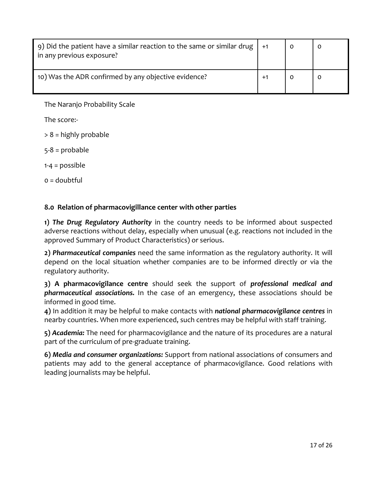| 9) Did the patient have a similar reaction to the same or similar drug $\vert$ +1<br>in any previous exposure? |  |  |
|----------------------------------------------------------------------------------------------------------------|--|--|
| 10) Was the ADR confirmed by any objective evidence?                                                           |  |  |

The Naranjo Probability Scale

The score:-

> 8 = highly probable

5-8 = probable

1-4 = possible

 $o =$  doubtful

#### <span id="page-16-0"></span>**8.0 Relation of pharmacovigillance center with other parties**

**1)** *The Drug Regulatory Authority* in the country needs to be informed about suspected adverse reactions without delay, especially when unusual (e.g. reactions not included in the approved Summary of Product Characteristics) or serious.

**2)** *Pharmaceutical companies* need the same information as the regulatory authority. It will depend on the local situation whether companies are to be informed directly or via the regulatory authority.

**3) A pharmacovigilance centre** should seek the support of *professional medical and pharmaceutical associations.* In the case of an emergency, these associations should be informed in good time.

**4)** In addition it may be helpful to make contacts with *national pharmacovigilance centres* in nearby countries. When more experienced, such centres may be helpful with staff training.

**5)** *Academia:* The need for pharmacovigilance and the nature of its procedures are a natural part of the curriculum of pre-graduate training.

**6)** *Media and consumer organizations:* Support from national associations of consumers and patients may add to the general acceptance of pharmacovigilance. Good relations with leading journalists may be helpful.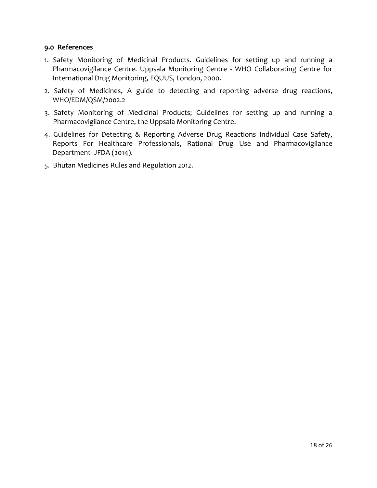#### <span id="page-17-0"></span>**9.0 References**

- 1. Safety Monitoring of Medicinal Products. Guidelines for setting up and running a Pharmacovigilance Centre. Uppsala Monitoring Centre - WHO Collaborating Centre for International Drug Monitoring, EQUUS, London, 2000.
- 2. Safety of Medicines, A guide to detecting and reporting adverse drug reactions, WHO/EDM/QSM/2002.2
- 3. Safety Monitoring of Medicinal Products; Guidelines for setting up and running a Pharmacovigilance Centre, the Uppsala Monitoring Centre.
- 4. Guidelines for Detecting & Reporting Adverse Drug Reactions Individual Case Safety, Reports For Healthcare Professionals, Rational Drug Use and Pharmacovigilance Department- JFDA (2014).
- 5. Bhutan Medicines Rules and Regulation 2012.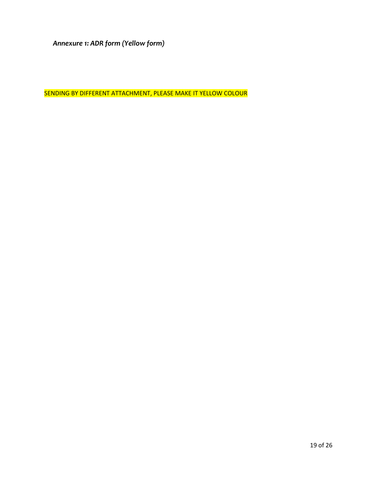<span id="page-18-0"></span>*Annexure 1: ADR form (Yellow form)*

SENDING BY DIFFERENT ATTACHMENT, PLEASE MAKE IT YELLOW COLOUR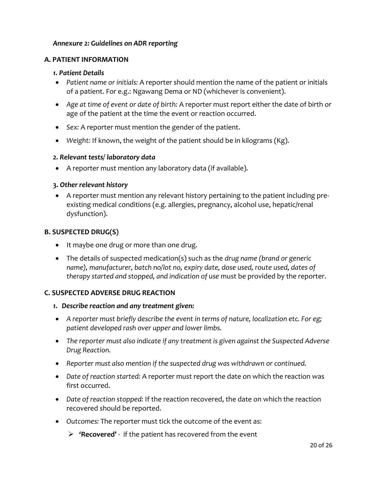#### <span id="page-19-0"></span>*Annexure 2: Guidelines on ADR reporting*

#### **A. PATIENT INFORMATION**

#### *1. Patient Details*

- *Patient name or initials:* A reporter should mention the name of the patient or initials of a patient. For e.g.: Ngawang Dema or ND (whichever is convenient).
- *Age at time of event or date of birth:* A reporter must report either the date of birth or age of the patient at the time the event or reaction occurred.
- *Sex:* A reporter must mention the gender of the patient.
- *Weight:* If known, the weight of the patient should be in kilograms (Kg).

#### *2. Relevant tests/ laboratory data*

A reporter must mention any laboratory data (if available).

#### **3.** *Other relevant history*

 A reporter must mention any relevant history pertaining to the patient including preexisting medical conditions (e.g. allergies, pregnancy, alcohol use, hepatic/renal dysfunction).

#### **B. SUSPECTED DRUG(S)**

- It maybe one drug or more than one drug.
- The details of suspected medication(s) such as the *drug name (brand or generic name), manufacturer, batch no/lot no, expiry date, dose used, route used, dates of therapy started and stopped, and indication of use* must be provided by the reporter.

#### **C. SUSPECTED ADVERSE DRUG REACTION**

- *1. Describe reaction and any treatment given:*
- *A reporter must briefly describe the event in terms of nature, localization etc. For eg; patient developed rash over upper and lower limbs.*
- *The reporter must also indicate if any treatment is given against the Suspected Adverse Drug Reaction.*
- *Reporter must also mention if the suspected drug was withdrawn or continued.*
- *Date of reaction started:* A reporter must report the date on which the reaction was first occurred.
- *Date of reaction stopped:* If the reaction recovered, the date on which the reaction recovered should be reported.
- *Outcomes:* The reporter must tick the outcome of the event as:
	- **'Recovered'** if the patient has recovered from the event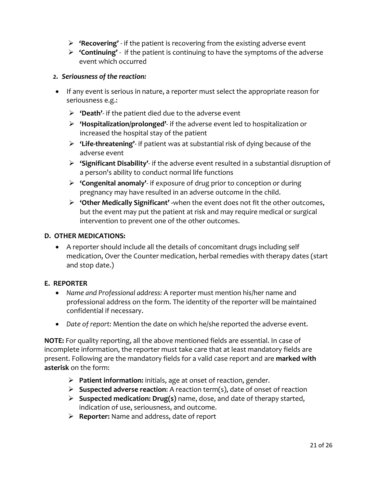- **'Recovering'** if the patient is recovering from the existing adverse event
- **'Continuing'** if the patient is continuing to have the symptoms of the adverse event which occurred

#### *2. Seriousness of the reaction:*

- If any event is serious in nature, a reporter must select the appropriate reason for seriousness e.g.:
	- **'Death'** if the patient died due to the adverse event
	- **'Hospitalization/prolonged'** if the adverse event led to hospitalization or increased the hospital stay of the patient
	- **'Life-threatening'** if patient was at substantial risk of dying because of the adverse event
	- **'Significant Disability'** if the adverse event resulted in a substantial disruption of a person's ability to conduct normal life functions
	- **'Congenital anomaly'** if exposure of drug prior to conception or during pregnancy may have resulted in an adverse outcome in the child.
	- **'Other Medically Significant' -**when the event does not fit the other outcomes, but the event may put the patient at risk and may require medical or surgical intervention to prevent one of the other outcomes.

#### **D. OTHER MEDICATIONS:**

 A reporter should include all the details of concomitant drugs including self medication, Over the Counter medication, herbal remedies with therapy dates (start and stop date.)

#### **E. REPORTER**

- *Name and Professional address:* A reporter must mention his/her name and professional address on the form. The identity of the reporter will be maintained confidential if necessary.
- *Date of report:* Mention the date on which he/she reported the adverse event.

**NOTE:** For quality reporting, all the above mentioned fields are essential. In case of incomplete information, the reporter must take care that at least mandatory fields are present. Following are the mandatory fields for a valid case report and are **marked with asterisk** on the form:

- **Patient information:** initials, age at onset of reaction, gender.
- **Suspected adverse reaction**: A reaction term(s), date of onset of reaction
- **Suspected medication: Drug(s)** name, dose, and date of therapy started, indication of use, seriousness, and outcome.
- **Reporter:** Name and address, date of report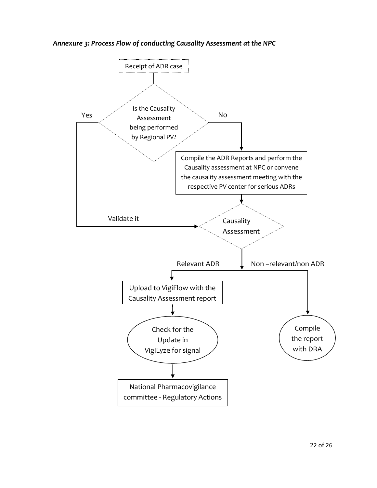<span id="page-21-0"></span>*Annexure 3: Process Flow of conducting Causality Assessment at the NPC*

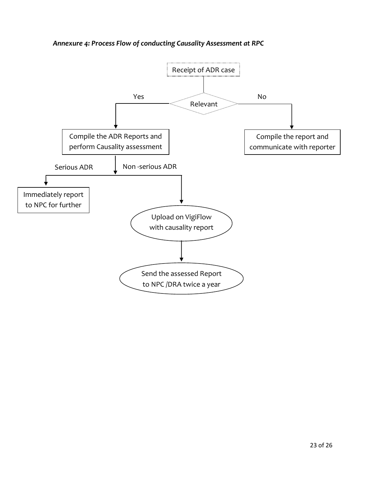*Annexure 4: Process Flow of conducting Causality Assessment at RPC*

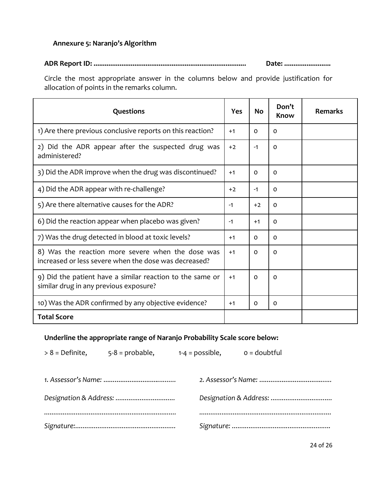# <span id="page-23-0"></span>**Annexure 5: Naranjo's Algorithm**

#### **ADR Report ID: .................................................................................. Date: .........................**

Circle the most appropriate answer in the columns below and provide justification for allocation of points in the remarks column.

| Questions                                                                                                  | <b>Yes</b> | No       | Don't<br>Know | <b>Remarks</b> |
|------------------------------------------------------------------------------------------------------------|------------|----------|---------------|----------------|
| 1) Are there previous conclusive reports on this reaction?                                                 | $+1$       | $\Omega$ | $\Omega$      |                |
| 2) Did the ADR appear after the suspected drug was<br>administered?                                        | $+2$       | $-1$     | $\Omega$      |                |
| 3) Did the ADR improve when the drug was discontinued?                                                     | $+1$       | $\Omega$ | $\Omega$      |                |
| 4) Did the ADR appear with re-challenge?                                                                   | $+2$       | $-1$     | $\Omega$      |                |
| 5) Are there alternative causes for the ADR?                                                               | $-1$       | $+2$     | 0             |                |
| 6) Did the reaction appear when placebo was given?                                                         | $-1$       | $+1$     | $\Omega$      |                |
| 7) Was the drug detected in blood at toxic levels?                                                         | $+1$       | $\Omega$ | $\Omega$      |                |
| 8) Was the reaction more severe when the dose was<br>increased or less severe when the dose was decreased? | $+1$       | $\Omega$ | $\Omega$      |                |
| 9) Did the patient have a similar reaction to the same or<br>similar drug in any previous exposure?        | $+1$       | 0        | $\Omega$      |                |
| 10) Was the ADR confirmed by any objective evidence?                                                       | $+1$       | 0        | $\Omega$      |                |
| <b>Total Score</b>                                                                                         |            |          |               |                |

# **Underline the appropriate range of Naranjo Probability Scale score below:**

 $> 8 =$  Definite,  $5-8 =$  probable,  $1-4 =$  possible,  $0 =$  doubtful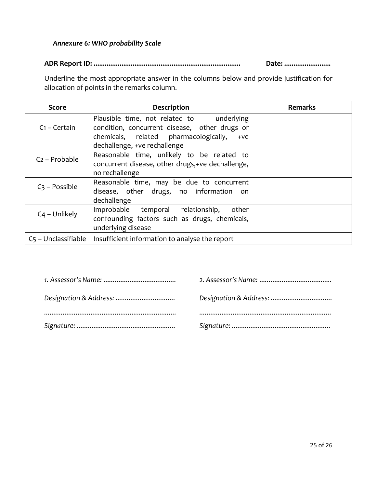#### <span id="page-24-0"></span>*Annexure 6: WHO probability Scale*

**ADR Report ID: ............................................................................... Date: .........................**

Underline the most appropriate answer in the columns below and provide justification for allocation of points in the remarks column.

| Score               | Description                                                                                                                                                                  | <b>Remarks</b> |
|---------------------|------------------------------------------------------------------------------------------------------------------------------------------------------------------------------|----------------|
| $C_1$ – Certain     | Plausible time, not related to underlying<br>condition, concurrent disease, other drugs or<br>chemicals, related pharmacologically,<br>$+ve$<br>dechallenge, +ve rechallenge |                |
| $C_2$ – Probable    | Reasonable time, unlikely to be related to<br>concurrent disease, other drugs, +ve dechallenge,<br>no rechallenge                                                            |                |
| $C_3$ – Possible    | Reasonable time, may be due to concurrent<br>disease, other drugs, no information on<br>dechallenge                                                                          |                |
| $C_4$ – Unlikely    | Improbable temporal relationship, other<br>confounding factors such as drugs, chemicals,<br>underlying disease                                                               |                |
| C5 - Unclassifiable | Insufficient information to analyse the report                                                                                                                               |                |

| Designation & Address: |  |
|------------------------|--|
|                        |  |
|                        |  |